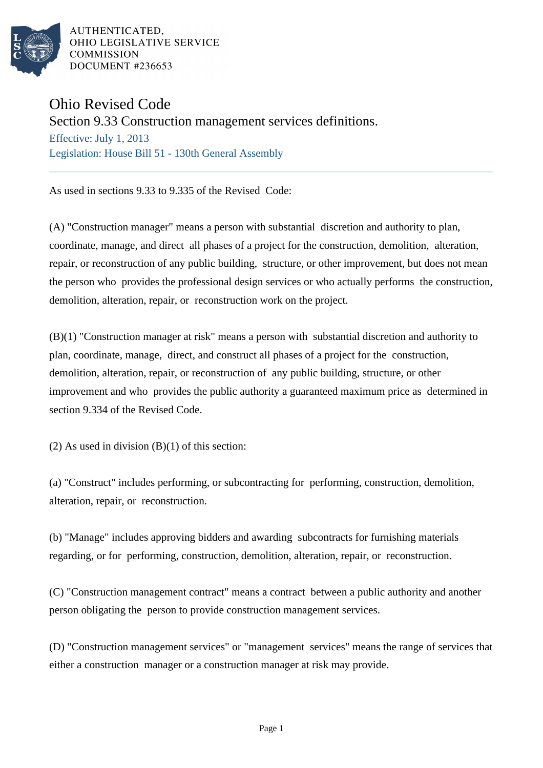

AUTHENTICATED. OHIO LEGISLATIVE SERVICE **COMMISSION** DOCUMENT #236653

## Ohio Revised Code

Section 9.33 Construction management services definitions.

Effective: July 1, 2013 Legislation: House Bill 51 - 130th General Assembly

As used in sections 9.33 to 9.335 of the Revised Code:

(A) "Construction manager" means a person with substantial discretion and authority to plan, coordinate, manage, and direct all phases of a project for the construction, demolition, alteration, repair, or reconstruction of any public building, structure, or other improvement, but does not mean the person who provides the professional design services or who actually performs the construction, demolition, alteration, repair, or reconstruction work on the project.

(B)(1) "Construction manager at risk" means a person with substantial discretion and authority to plan, coordinate, manage, direct, and construct all phases of a project for the construction, demolition, alteration, repair, or reconstruction of any public building, structure, or other improvement and who provides the public authority a guaranteed maximum price as determined in section 9.334 of the Revised Code.

 $(2)$  As used in division  $(B)(1)$  of this section:

(a) "Construct" includes performing, or subcontracting for performing, construction, demolition, alteration, repair, or reconstruction.

(b) "Manage" includes approving bidders and awarding subcontracts for furnishing materials regarding, or for performing, construction, demolition, alteration, repair, or reconstruction.

(C) "Construction management contract" means a contract between a public authority and another person obligating the person to provide construction management services.

(D) "Construction management services" or "management services" means the range of services that either a construction manager or a construction manager at risk may provide.